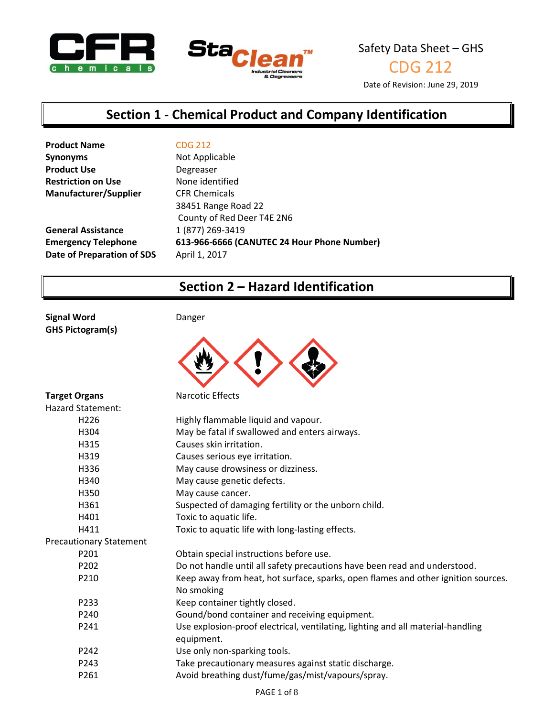



CDG 212

Date of Revision: June 29, 2019

## **Section 1 - Chemical Product and Company Identification**

| <b>Product Name</b>        | <b>CDG 212</b>                              |
|----------------------------|---------------------------------------------|
| <b>Synonyms</b>            | Not Applicable                              |
| <b>Product Use</b>         | Degreaser                                   |
| <b>Restriction on Use</b>  | None identified                             |
| Manufacturer/Supplier      | <b>CFR Chemicals</b>                        |
|                            | 38451 Range Road 22                         |
|                            | County of Red Deer T4E 2N6                  |
| <b>General Assistance</b>  | 1 (877) 269-3419                            |
| <b>Emergency Telephone</b> | 613-966-6666 (CANUTEC 24 Hour Phone Number) |
| Date of Preparation of SDS | April 1, 2017                               |
|                            |                                             |

## **Section 2 – Hazard Identification**

**Signal Word** Danger **GHS Pictogram(s)**



| <b>Target Organs</b>           | <b>Narcotic Effects</b>                                                           |
|--------------------------------|-----------------------------------------------------------------------------------|
| <b>Hazard Statement:</b>       |                                                                                   |
| H <sub>226</sub>               | Highly flammable liquid and vapour.                                               |
| H304                           | May be fatal if swallowed and enters airways.                                     |
| H315                           | Causes skin irritation.                                                           |
| H319                           | Causes serious eye irritation.                                                    |
| H336                           | May cause drowsiness or dizziness.                                                |
| H340                           | May cause genetic defects.                                                        |
| H350                           | May cause cancer.                                                                 |
| H361                           | Suspected of damaging fertility or the unborn child.                              |
| H401                           | Toxic to aquatic life.                                                            |
| H411                           | Toxic to aquatic life with long-lasting effects.                                  |
| <b>Precautionary Statement</b> |                                                                                   |
| P <sub>201</sub>               | Obtain special instructions before use.                                           |
| P <sub>202</sub>               | Do not handle until all safety precautions have been read and understood.         |
| P210                           | Keep away from heat, hot surface, sparks, open flames and other ignition sources. |
|                                | No smoking                                                                        |
| P233                           | Keep container tightly closed.                                                    |
| P <sub>240</sub>               | Gound/bond container and receiving equipment.                                     |
| P241                           | Use explosion-proof electrical, ventilating, lighting and all material-handling   |
|                                | equipment.                                                                        |
| P242                           | Use only non-sparking tools.                                                      |
| P243                           | Take precautionary measures against static discharge.                             |
| P261                           | Avoid breathing dust/fume/gas/mist/vapours/spray.                                 |
|                                |                                                                                   |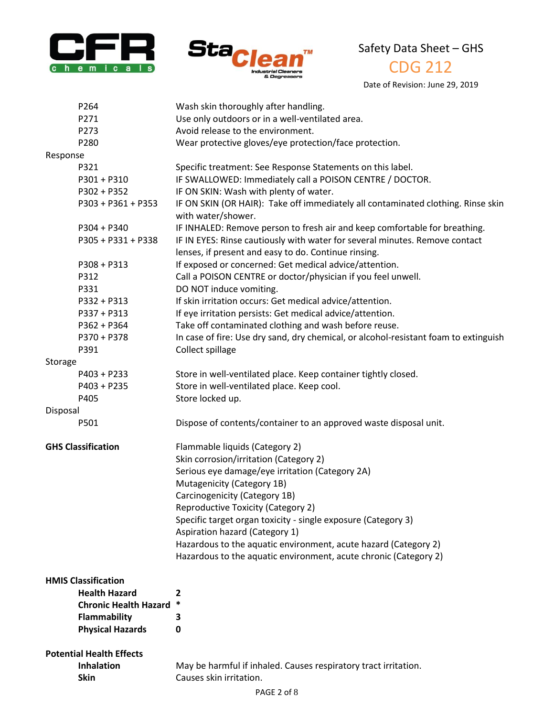



## CDG 212

Date of Revision: June 29, 2019

| P264                            | Wash skin thoroughly after handling.                                                                                                |
|---------------------------------|-------------------------------------------------------------------------------------------------------------------------------------|
| P271                            | Use only outdoors or in a well-ventilated area.                                                                                     |
| P273                            | Avoid release to the environment.                                                                                                   |
| P280                            | Wear protective gloves/eye protection/face protection.                                                                              |
| Response                        |                                                                                                                                     |
| P321                            | Specific treatment: See Response Statements on this label.                                                                          |
| $P301 + P310$                   | IF SWALLOWED: Immediately call a POISON CENTRE / DOCTOR.                                                                            |
| P302 + P352                     | IF ON SKIN: Wash with plenty of water.                                                                                              |
| P303 + P361 + P353              | IF ON SKIN (OR HAIR): Take off immediately all contaminated clothing. Rinse skin<br>with water/shower.                              |
| $P304 + P340$                   | IF INHALED: Remove person to fresh air and keep comfortable for breathing.                                                          |
| P305 + P331 + P338              | IF IN EYES: Rinse cautiously with water for several minutes. Remove contact<br>lenses, if present and easy to do. Continue rinsing. |
| $P308 + P313$                   | If exposed or concerned: Get medical advice/attention.                                                                              |
| P312                            | Call a POISON CENTRE or doctor/physician if you feel unwell.                                                                        |
| P331                            | DO NOT induce vomiting.                                                                                                             |
| P332 + P313                     | If skin irritation occurs: Get medical advice/attention.                                                                            |
| P337 + P313                     | If eye irritation persists: Get medical advice/attention.                                                                           |
| P362 + P364                     | Take off contaminated clothing and wash before reuse.                                                                               |
| P370 + P378                     | In case of fire: Use dry sand, dry chemical, or alcohol-resistant foam to extinguish                                                |
| P391                            | Collect spillage                                                                                                                    |
| Storage                         |                                                                                                                                     |
| $P403 + P233$                   | Store in well-ventilated place. Keep container tightly closed.                                                                      |
| $P403 + P235$                   | Store in well-ventilated place. Keep cool.                                                                                          |
| P405                            | Store locked up.                                                                                                                    |
| Disposal                        |                                                                                                                                     |
| P501                            | Dispose of contents/container to an approved waste disposal unit.                                                                   |
| <b>GHS Classification</b>       | Flammable liquids (Category 2)                                                                                                      |
|                                 | Skin corrosion/irritation (Category 2)                                                                                              |
|                                 | Serious eye damage/eye irritation (Category 2A)                                                                                     |
|                                 | Mutagenicity (Category 1B)                                                                                                          |
|                                 | Carcinogenicity (Category 1B)                                                                                                       |
|                                 | Reproductive Toxicity (Category 2)                                                                                                  |
|                                 | Specific target organ toxicity - single exposure (Category 3)                                                                       |
|                                 | Aspiration hazard (Category 1)                                                                                                      |
|                                 | Hazardous to the aquatic environment, acute hazard (Category 2)                                                                     |
|                                 | Hazardous to the aquatic environment, acute chronic (Category 2)                                                                    |
|                                 |                                                                                                                                     |
| <b>HMIS Classification</b>      |                                                                                                                                     |
| <b>Health Hazard</b>            | 2<br>$\ast$                                                                                                                         |
| <b>Chronic Health Hazard</b>    |                                                                                                                                     |
| <b>Flammability</b>             | 3                                                                                                                                   |
| <b>Physical Hazards</b>         | 0                                                                                                                                   |
| <b>Potential Health Effects</b> |                                                                                                                                     |
| <b>Inhalation</b>               | May be harmful if inhaled. Causes respiratory tract irritation.                                                                     |

**Inhalation** May be harmful if inhaled. Causes respiratory tract irritation.<br>**Skin** Causes skin irritation. **Causes skin irritation.**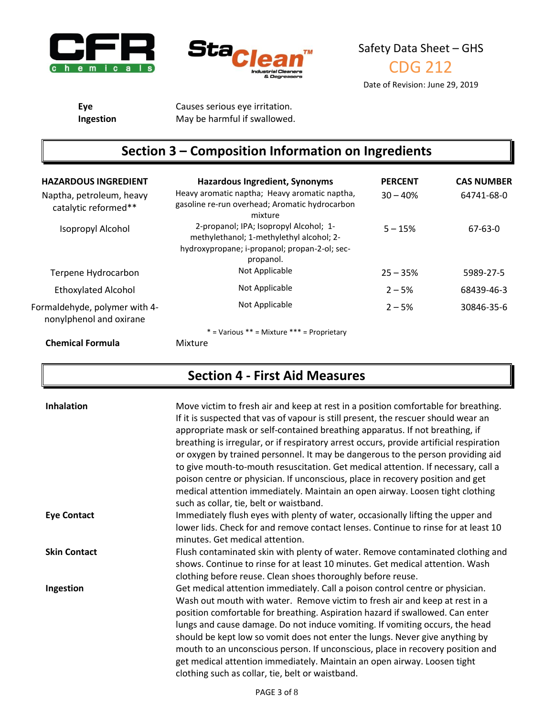



**Eye** Causes serious eye irritation. **Ingestion** May be harmful if swallowed.

# **Section 3 – Composition Information on Ingredients**

| <b>HAZARDOUS INGREDIENT</b><br>Naptha, petroleum, heavy<br>catalytic reformed** | <b>Hazardous Ingredient, Synonyms</b><br>Heavy aromatic naptha; Heavy aromatic naptha,<br>gasoline re-run overhead; Aromatic hydrocarbon<br>mixture | <b>PERCENT</b><br>$30 - 40%$ | <b>CAS NUMBER</b><br>64741-68-0 |
|---------------------------------------------------------------------------------|-----------------------------------------------------------------------------------------------------------------------------------------------------|------------------------------|---------------------------------|
| Isopropyl Alcohol                                                               | 2-propanol; IPA; Isopropyl Alcohol; 1-<br>methylethanol; 1-methylethyl alcohol; 2-<br>hydroxypropane; i-propanol; propan-2-ol; sec-<br>propanol.    | $5 - 15%$                    | 67-63-0                         |
| Terpene Hydrocarbon                                                             | Not Applicable                                                                                                                                      | $25 - 35%$                   | 5989-27-5                       |
| <b>Ethoxylated Alcohol</b>                                                      | Not Applicable                                                                                                                                      | $2 - 5%$                     | 68439-46-3                      |
| Formaldehyde, polymer with 4-<br>nonylphenol and oxirane                        | Not Applicable                                                                                                                                      | $2 - 5%$                     | 30846-35-6                      |
|                                                                                 | $*$ = Various $**$ = Mixture $***$ = Proprietary                                                                                                    |                              |                                 |
| <b>Chemical Formula</b>                                                         | Mixture                                                                                                                                             |                              |                                 |

## **Section 4 - First Aid Measures**

| <b>Inhalation</b>   | Move victim to fresh air and keep at rest in a position comfortable for breathing.<br>If it is suspected that vas of vapour is still present, the rescuer should wear an<br>appropriate mask or self-contained breathing apparatus. If not breathing, if<br>breathing is irregular, or if respiratory arrest occurs, provide artificial respiration<br>or oxygen by trained personnel. It may be dangerous to the person providing aid<br>to give mouth-to-mouth resuscitation. Get medical attention. If necessary, call a<br>poison centre or physician. If unconscious, place in recovery position and get<br>medical attention immediately. Maintain an open airway. Loosen tight clothing<br>such as collar, tie, belt or waistband. |
|---------------------|-------------------------------------------------------------------------------------------------------------------------------------------------------------------------------------------------------------------------------------------------------------------------------------------------------------------------------------------------------------------------------------------------------------------------------------------------------------------------------------------------------------------------------------------------------------------------------------------------------------------------------------------------------------------------------------------------------------------------------------------|
| <b>Eye Contact</b>  | Immediately flush eyes with plenty of water, occasionally lifting the upper and<br>lower lids. Check for and remove contact lenses. Continue to rinse for at least 10<br>minutes. Get medical attention.                                                                                                                                                                                                                                                                                                                                                                                                                                                                                                                                  |
| <b>Skin Contact</b> | Flush contaminated skin with plenty of water. Remove contaminated clothing and<br>shows. Continue to rinse for at least 10 minutes. Get medical attention. Wash<br>clothing before reuse. Clean shoes thoroughly before reuse.                                                                                                                                                                                                                                                                                                                                                                                                                                                                                                            |
| Ingestion           | Get medical attention immediately. Call a poison control centre or physician.<br>Wash out mouth with water. Remove victim to fresh air and keep at rest in a<br>position comfortable for breathing. Aspiration hazard if swallowed. Can enter<br>lungs and cause damage. Do not induce vomiting. If vomiting occurs, the head<br>should be kept low so vomit does not enter the lungs. Never give anything by<br>mouth to an unconscious person. If unconscious, place in recovery position and<br>get medical attention immediately. Maintain an open airway. Loosen tight<br>clothing such as collar, tie, belt or waistband.                                                                                                           |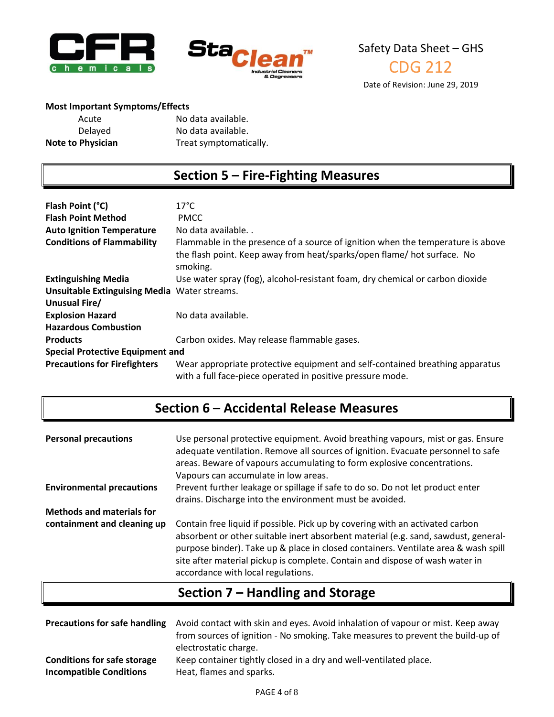



### **Most Important Symptoms/Effects**

| Acute                    | No data available.     |
|--------------------------|------------------------|
| Delayed                  | No data available.     |
| <b>Note to Physician</b> | Treat symptomatically. |

## **Section 5 – Fire-Fighting Measures**

| Flash Point (°C)<br><b>Flash Point Method</b>       | $17^{\circ}$ C<br><b>PMCC</b>                                                                                                                                          |  |
|-----------------------------------------------------|------------------------------------------------------------------------------------------------------------------------------------------------------------------------|--|
| <b>Auto Ignition Temperature</b>                    | No data available                                                                                                                                                      |  |
| <b>Conditions of Flammability</b>                   | Flammable in the presence of a source of ignition when the temperature is above<br>the flash point. Keep away from heat/sparks/open flame/ hot surface. No<br>smoking. |  |
| <b>Extinguishing Media</b>                          | Use water spray (fog), alcohol-resistant foam, dry chemical or carbon dioxide                                                                                          |  |
| <b>Unsuitable Extinguising Media Water streams.</b> |                                                                                                                                                                        |  |
| Unusual Fire/                                       |                                                                                                                                                                        |  |
| <b>Explosion Hazard</b>                             | No data available.                                                                                                                                                     |  |
| <b>Hazardous Combustion</b>                         |                                                                                                                                                                        |  |
| <b>Products</b>                                     | Carbon oxides. May release flammable gases.                                                                                                                            |  |
| <b>Special Protective Equipment and</b>             |                                                                                                                                                                        |  |
| <b>Precautions for Firefighters</b>                 | Wear appropriate protective equipment and self-contained breathing apparatus<br>with a full face-piece operated in positive pressure mode.                             |  |

## **Section 6 – Accidental Release Measures**

| <b>Personal precautions</b>      | Use personal protective equipment. Avoid breathing vapours, mist or gas. Ensure<br>adequate ventilation. Remove all sources of ignition. Evacuate personnel to safe<br>areas. Beware of vapours accumulating to form explosive concentrations.<br>Vapours can accumulate in low areas.                                                                                          |
|----------------------------------|---------------------------------------------------------------------------------------------------------------------------------------------------------------------------------------------------------------------------------------------------------------------------------------------------------------------------------------------------------------------------------|
| <b>Environmental precautions</b> | Prevent further leakage or spillage if safe to do so. Do not let product enter<br>drains. Discharge into the environment must be avoided.                                                                                                                                                                                                                                       |
| <b>Methods and materials for</b> |                                                                                                                                                                                                                                                                                                                                                                                 |
| containment and cleaning up      | Contain free liquid if possible. Pick up by covering with an activated carbon<br>absorbent or other suitable inert absorbent material (e.g. sand, sawdust, general-<br>purpose binder). Take up & place in closed containers. Ventilate area & wash spill<br>site after material pickup is complete. Contain and dispose of wash water in<br>accordance with local regulations. |

## **Section 7 – Handling and Storage**

| <b>Precautions for safe handling</b> | Avoid contact with skin and eyes. Avoid inhalation of vapour or mist. Keep away<br>from sources of ignition - No smoking. Take measures to prevent the build-up of<br>electrostatic charge. |
|--------------------------------------|---------------------------------------------------------------------------------------------------------------------------------------------------------------------------------------------|
| <b>Conditions for safe storage</b>   | Keep container tightly closed in a dry and well-ventilated place.                                                                                                                           |
| <b>Incompatible Conditions</b>       | Heat, flames and sparks.                                                                                                                                                                    |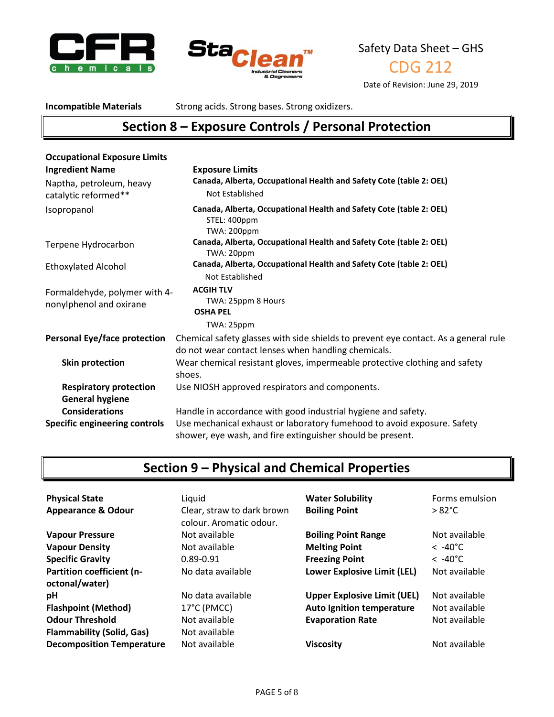



CDG 212

Date of Revision: June 29, 2019

**Incompatible Materials** Strong acids. Strong bases. Strong oxidizers.

## **Section 8 – Exposure Controls / Personal Protection**

| <b>Occupational Exposure Limits</b>                      |                                                                                                                                            |
|----------------------------------------------------------|--------------------------------------------------------------------------------------------------------------------------------------------|
| <b>Ingredient Name</b>                                   | <b>Exposure Limits</b>                                                                                                                     |
| Naptha, petroleum, heavy                                 | Canada, Alberta, Occupational Health and Safety Cote (table 2: OEL)                                                                        |
| catalytic reformed**                                     | Not Established                                                                                                                            |
| Isopropanol                                              | Canada, Alberta, Occupational Health and Safety Cote (table 2: OEL)<br>STEL: 400ppm<br>TWA: 200ppm                                         |
| Terpene Hydrocarbon                                      | Canada, Alberta, Occupational Health and Safety Cote (table 2: OEL)<br>TWA: 20ppm                                                          |
| <b>Ethoxylated Alcohol</b>                               | Canada, Alberta, Occupational Health and Safety Cote (table 2: OEL)<br>Not Established                                                     |
| Formaldehyde, polymer with 4-<br>nonylphenol and oxirane | <b>ACGIH TLV</b><br>TWA: 25ppm 8 Hours<br><b>OSHA PEL</b><br>TWA: 25ppm                                                                    |
| <b>Personal Eye/face protection</b>                      | Chemical safety glasses with side shields to prevent eye contact. As a general rule<br>do not wear contact lenses when handling chemicals. |
| Skin protection                                          | Wear chemical resistant gloves, impermeable protective clothing and safety<br>shoes.                                                       |
| <b>Respiratory protection</b>                            | Use NIOSH approved respirators and components.                                                                                             |
| <b>General hygiene</b>                                   |                                                                                                                                            |
| <b>Considerations</b>                                    | Handle in accordance with good industrial hygiene and safety.                                                                              |
| <b>Specific engineering controls</b>                     | Use mechanical exhaust or laboratory fumehood to avoid exposure. Safety<br>shower, eye wash, and fire extinguisher should be present.      |

# **Section 9 – Physical and Chemical Properties**

| <b>Physical State</b><br><b>Appearance &amp; Odour</b>     | Liquid<br>Clear, straw to dark brown<br>colour. Aromatic odour. | <b>Water Solubility</b><br><b>Boiling Point</b> | Forms emulsion<br>$>82^{\circ}$ C |
|------------------------------------------------------------|-----------------------------------------------------------------|-------------------------------------------------|-----------------------------------|
| <b>Vapour Pressure</b>                                     | Not available                                                   | <b>Boiling Point Range</b>                      | Not available                     |
| <b>Vapour Density</b>                                      | Not available                                                   | <b>Melting Point</b>                            | $< -40^{\circ}$ C                 |
| <b>Specific Gravity</b>                                    | $0.89 - 0.91$                                                   | <b>Freezing Point</b>                           | $< -40^{\circ}$ C                 |
| <b>Partition coefficient (n-</b><br>octonal/water)         | No data available                                               | <b>Lower Explosive Limit (LEL)</b>              | Not available                     |
| рH                                                         | No data available                                               | <b>Upper Explosive Limit (UEL)</b>              | Not available                     |
| <b>Flashpoint (Method)</b>                                 | 17°C (PMCC)                                                     | <b>Auto Ignition temperature</b>                | Not available                     |
| <b>Odour Threshold</b><br><b>Flammability (Solid, Gas)</b> | Not available<br>Not available                                  | <b>Evaporation Rate</b>                         | Not available                     |
| <b>Decomposition Temperature</b>                           | Not available                                                   | <b>Viscosity</b>                                | Not available                     |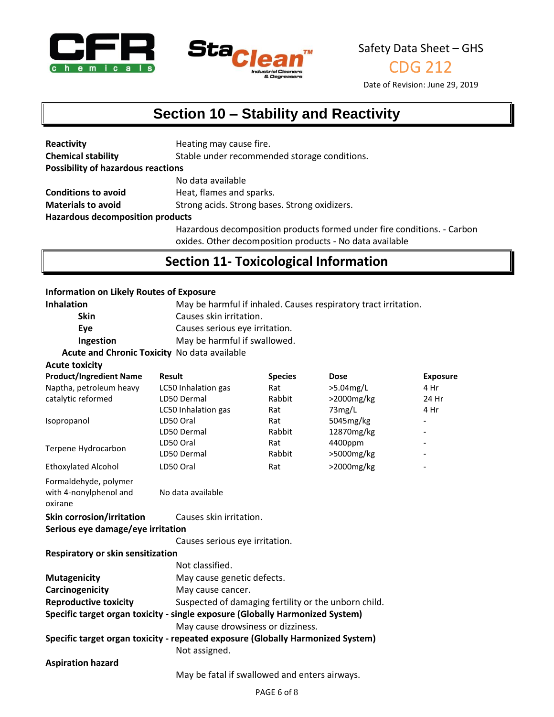



CDG 212

Date of Revision: June 29, 2019

## **Section 10 – Stability and Reactivity**

| Reactivity                                | Heating may cause fire.                                                 |
|-------------------------------------------|-------------------------------------------------------------------------|
| <b>Chemical stability</b>                 | Stable under recommended storage conditions.                            |
| <b>Possibility of hazardous reactions</b> |                                                                         |
|                                           | No data available                                                       |
| <b>Conditions to avoid</b>                | Heat, flames and sparks.                                                |
| <b>Materials to avoid</b>                 | Strong acids. Strong bases. Strong oxidizers.                           |
| <b>Hazardous decomposition products</b>   |                                                                         |
|                                           | Hazardous decomposition products formed under fire conditions. - Carbon |

oxides. Other decomposition products - No data available

## **Section 11- Toxicological Information**

#### **Information on Likely Routes of Exposure**

| <b>Inhalation</b>                                                               |                                                      | May be harmful if inhaled. Causes respiratory tract irritation. |             |                          |
|---------------------------------------------------------------------------------|------------------------------------------------------|-----------------------------------------------------------------|-------------|--------------------------|
| <b>Skin</b>                                                                     | Causes skin irritation.                              |                                                                 |             |                          |
| Eye                                                                             | Causes serious eye irritation.                       |                                                                 |             |                          |
| Ingestion                                                                       | May be harmful if swallowed.                         |                                                                 |             |                          |
| Acute and Chronic Toxicity No data available                                    |                                                      |                                                                 |             |                          |
| <b>Acute toxicity</b>                                                           |                                                      |                                                                 |             |                          |
| <b>Product/Ingredient Name</b>                                                  | <b>Result</b>                                        | <b>Species</b>                                                  | <b>Dose</b> | <b>Exposure</b>          |
| Naptha, petroleum heavy                                                         | LC50 Inhalation gas                                  | Rat                                                             | >5.04mg/L   | 4 Hr                     |
| catalytic reformed                                                              | LD50 Dermal                                          | Rabbit                                                          | >2000mg/kg  | 24 Hr                    |
|                                                                                 | LC50 Inhalation gas                                  | Rat                                                             | 73mg/L      | 4 Hr                     |
| Isopropanol                                                                     | LD50 Oral                                            | Rat                                                             | 5045mg/kg   | $\overline{\phantom{a}}$ |
|                                                                                 | LD50 Dermal                                          | Rabbit                                                          | 12870mg/kg  |                          |
| Terpene Hydrocarbon                                                             | LD50 Oral                                            | Rat                                                             | 4400ppm     |                          |
|                                                                                 | LD50 Dermal                                          | Rabbit                                                          | >5000mg/kg  |                          |
| <b>Ethoxylated Alcohol</b>                                                      | LD50 Oral                                            | Rat                                                             | >2000mg/kg  |                          |
| Formaldehyde, polymer<br>with 4-nonylphenol and<br>oxirane                      | No data available                                    |                                                                 |             |                          |
| <b>Skin corrosion/irritation</b>                                                | Causes skin irritation.                              |                                                                 |             |                          |
| Serious eye damage/eye irritation                                               |                                                      |                                                                 |             |                          |
|                                                                                 | Causes serious eye irritation.                       |                                                                 |             |                          |
| Respiratory or skin sensitization                                               |                                                      |                                                                 |             |                          |
|                                                                                 | Not classified.                                      |                                                                 |             |                          |
| <b>Mutagenicity</b>                                                             | May cause genetic defects.                           |                                                                 |             |                          |
| Carcinogenicity                                                                 | May cause cancer.                                    |                                                                 |             |                          |
| <b>Reproductive toxicity</b>                                                    | Suspected of damaging fertility or the unborn child. |                                                                 |             |                          |
| Specific target organ toxicity - single exposure (Globally Harmonized System)   |                                                      |                                                                 |             |                          |
|                                                                                 | May cause drowsiness or dizziness.                   |                                                                 |             |                          |
| Specific target organ toxicity - repeated exposure (Globally Harmonized System) |                                                      |                                                                 |             |                          |
|                                                                                 | Not assigned.                                        |                                                                 |             |                          |
| <b>Aspiration hazard</b>                                                        |                                                      |                                                                 |             |                          |
|                                                                                 |                                                      | May be fatal if swallowed and enters airways.                   |             |                          |
|                                                                                 |                                                      |                                                                 |             |                          |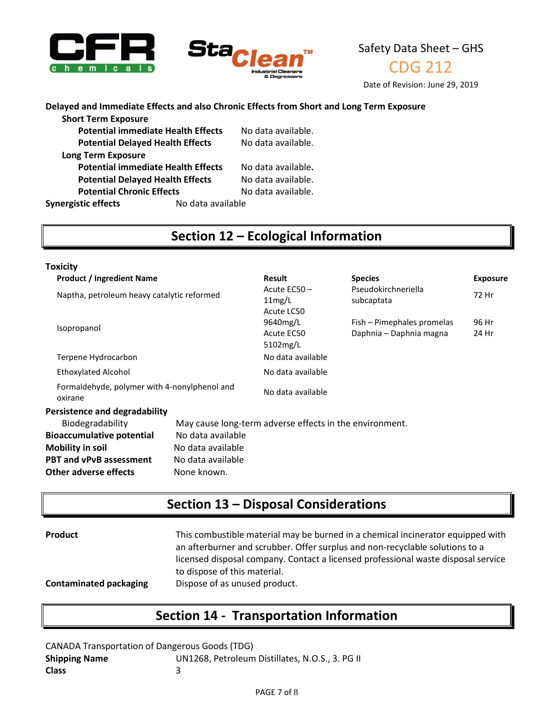



CDG 212

Date of Revision: June 29, 2019

### **Delayed and Immediate Effects and also Chronic Effects from Short and Long Term Exposure**

| <b>Short Term Exposure</b>                |                   |                    |
|-------------------------------------------|-------------------|--------------------|
| <b>Potential immediate Health Effects</b> |                   | No data available. |
| <b>Potential Delayed Health Effects</b>   |                   | No data available. |
| <b>Long Term Exposure</b>                 |                   |                    |
| <b>Potential immediate Health Effects</b> |                   | No data available. |
| <b>Potential Delayed Health Effects</b>   |                   | No data available. |
| <b>Potential Chronic Effects</b>          |                   | No data available. |
| <b>Synergistic effects</b>                | No data available |                    |
|                                           |                   |                    |

## **Section 12 – Ecological Information**

| Toxicity                                                                                                                                   |                                                                            |                                                         |                                                       |                 |
|--------------------------------------------------------------------------------------------------------------------------------------------|----------------------------------------------------------------------------|---------------------------------------------------------|-------------------------------------------------------|-----------------|
| <b>Product / Ingredient Name</b>                                                                                                           |                                                                            | <b>Result</b>                                           | <b>Species</b>                                        | <b>Exposure</b> |
| Naptha, petroleum heavy catalytic reformed                                                                                                 |                                                                            | Acute EC50-<br>11mg/L<br>Acute LC50                     | Pseudokirchneriella<br>subcaptata                     | 72 Hr           |
| Isopropanol                                                                                                                                |                                                                            | 9640mg/L<br>Acute EC50<br>5102mg/L                      | Fish - Pimephales promelas<br>Daphnia - Daphnia magna | 96 Hr<br>24 Hr  |
| Terpene Hydrocarbon                                                                                                                        |                                                                            | No data available                                       |                                                       |                 |
| Ethoxylated Alcohol                                                                                                                        |                                                                            | No data available                                       |                                                       |                 |
| Formaldehyde, polymer with 4-nonylphenol and<br>oxirane                                                                                    |                                                                            | No data available                                       |                                                       |                 |
| Persistence and degradability                                                                                                              |                                                                            |                                                         |                                                       |                 |
| Biodegradability<br><b>Bioaccumulative potential</b><br><b>Mobility in soil</b><br><b>PBT and vPvB assessment</b><br>Other adverse effects | No data available<br>No data available<br>No data available<br>None known. | May cause long-term adverse effects in the environment. |                                                       |                 |

## **Section 13 – Disposal Considerations**

| <b>Product</b>                | This combustible material may be burned in a chemical incinerator equipped with<br>an afterburner and scrubber. Offer surplus and non-recyclable solutions to a<br>licensed disposal company. Contact a licensed professional waste disposal service<br>to dispose of this material. |
|-------------------------------|--------------------------------------------------------------------------------------------------------------------------------------------------------------------------------------------------------------------------------------------------------------------------------------|
| <b>Contaminated packaging</b> | Dispose of as unused product.                                                                                                                                                                                                                                                        |

### **Section 14 - Transportation Information**

CANADA Transportation of Dangerous Goods (TDG) **Shipping Name** UN1268, Petroleum Distillates, N.O.S., 3. PG II **Class** 3